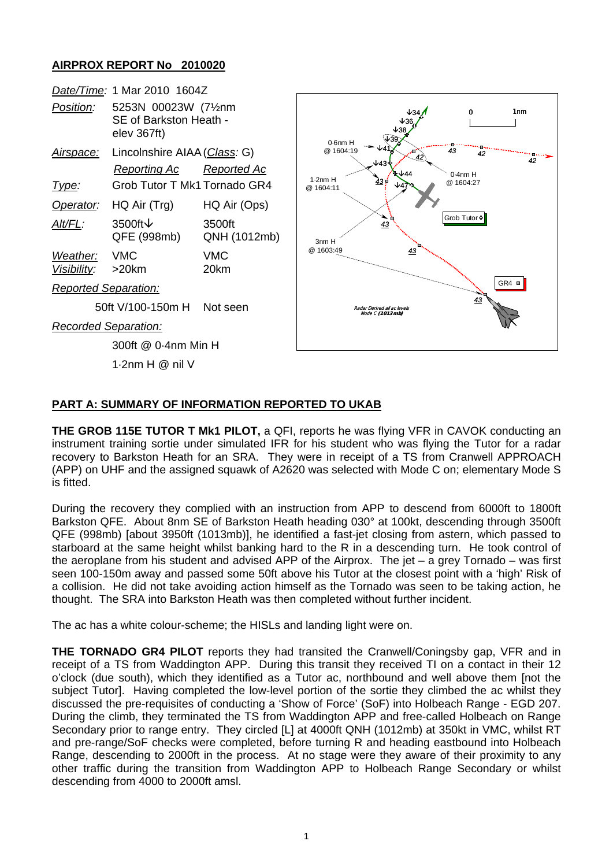## **AIRPROX REPORT No 2010020**

| elev 367ft)                        |                        | 1 <sub>nm</sub><br>0<br>$0.6$ nm $H$                                                                                                                                                                                   |
|------------------------------------|------------------------|------------------------------------------------------------------------------------------------------------------------------------------------------------------------------------------------------------------------|
| <b>Reporting Ac</b>                | Reported Ac            | . .<br>in na na sa sa sa na na na sa sa na n<br>@ 1604:19<br>43<br>æ<br>42<br>42<br>42<br>√43'<br>$0.4$ nm $H$<br>1.2nmH<br>43₫<br>@ 1604:27<br>@ 1604:11<br>Grob Tutor <sup>®</sup><br>43<br>3nm H<br>@ 1603:49<br>43 |
| $HQ$ Air $(Trg)$                   | HQ Air (Ops)           |                                                                                                                                                                                                                        |
| 3500ft $\downarrow$<br>QFE (998mb) | 3500ft<br>QNH (1012mb) |                                                                                                                                                                                                                        |
| <b>VMC</b><br>>20km                | <b>VMC</b><br>20km     |                                                                                                                                                                                                                        |
| <b>Reported Separation:</b>        |                        | $GR4 =$                                                                                                                                                                                                                |
| 50ft V/100-150m H                  | Not seen               | 43<br>Radar Derived all ac levels<br>Mode C (1013 mb)                                                                                                                                                                  |
| <b>Recorded Separation:</b>        |                        |                                                                                                                                                                                                                        |
| 300ft @ 0.4nm Min H                |                        |                                                                                                                                                                                                                        |
| 1.2nm $H \otimes$ nil V            |                        |                                                                                                                                                                                                                        |
|                                    |                        | Date/Time: 1 Mar 2010 1604Z<br>5253N 00023W (71/2nm<br>SE of Barkston Heath -<br>Lincolnshire AIAA (Class: G)<br>Grob Tutor T Mk1 Tornado GR4                                                                          |

## **PART A: SUMMARY OF INFORMATION REPORTED TO UKAB**

**THE GROB 115E TUTOR T Mk1 PILOT,** a QFI, reports he was flying VFR in CAVOK conducting an instrument training sortie under simulated IFR for his student who was flying the Tutor for a radar recovery to Barkston Heath for an SRA. They were in receipt of a TS from Cranwell APPROACH (APP) on UHF and the assigned squawk of A2620 was selected with Mode C on; elementary Mode S is fitted.

During the recovery they complied with an instruction from APP to descend from 6000ft to 1800ft Barkston QFE. About 8nm SE of Barkston Heath heading 030° at 100kt, descending through 3500ft QFE (998mb) [about 3950ft (1013mb)], he identified a fast-jet closing from astern, which passed to starboard at the same height whilst banking hard to the R in a descending turn. He took control of the aeroplane from his student and advised APP of the Airprox. The jet  $-$  a grey Tornado  $-$  was first seen 100-150m away and passed some 50ft above his Tutor at the closest point with a 'high' Risk of a collision. He did not take avoiding action himself as the Tornado was seen to be taking action, he thought. The SRA into Barkston Heath was then completed without further incident.

The ac has a white colour-scheme; the HISLs and landing light were on.

**THE TORNADO GR4 PILOT** reports they had transited the Cranwell/Coningsby gap, VFR and in receipt of a TS from Waddington APP. During this transit they received TI on a contact in their 12 o'clock (due south), which they identified as a Tutor ac, northbound and well above them [not the subject Tutor]. Having completed the low-level portion of the sortie they climbed the ac whilst they discussed the pre-requisites of conducting a 'Show of Force' (SoF) into Holbeach Range - EGD 207. During the climb, they terminated the TS from Waddington APP and free-called Holbeach on Range Secondary prior to range entry. They circled [L] at 4000ft QNH (1012mb) at 350kt in VMC, whilst RT and pre-range/SoF checks were completed, before turning R and heading eastbound into Holbeach Range, descending to 2000ft in the process. At no stage were they aware of their proximity to any other traffic during the transition from Waddington APP to Holbeach Range Secondary or whilst descending from 4000 to 2000ft amsl.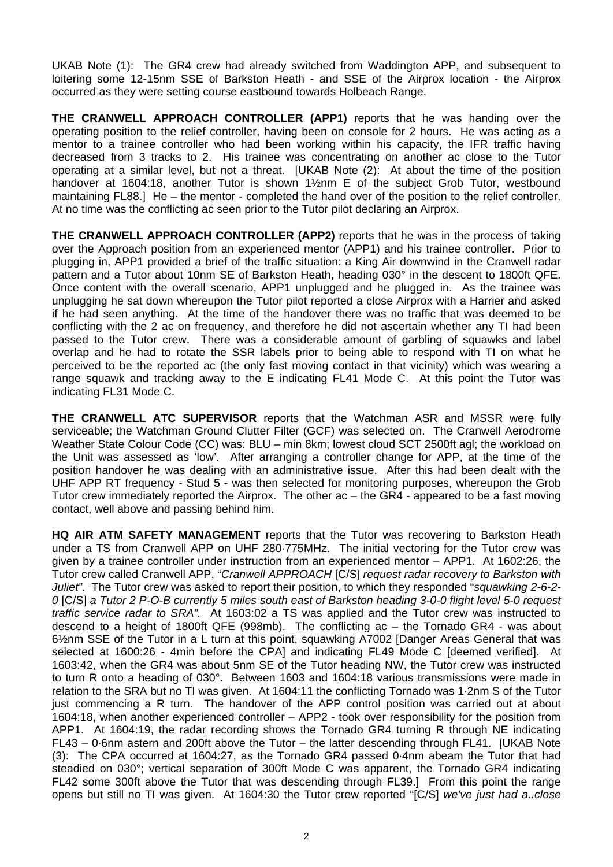UKAB Note (1): The GR4 crew had already switched from Waddington APP, and subsequent to loitering some 12-15nm SSE of Barkston Heath - and SSE of the Airprox location - the Airprox occurred as they were setting course eastbound towards Holbeach Range.

**THE CRANWELL APPROACH CONTROLLER (APP1)** reports that he was handing over the operating position to the relief controller, having been on console for 2 hours. He was acting as a mentor to a trainee controller who had been working within his capacity, the IFR traffic having decreased from 3 tracks to 2. His trainee was concentrating on another ac close to the Tutor operating at a similar level, but not a threat. [UKAB Note (2): At about the time of the position handover at 1604:18, another Tutor is shown 11/2nm E of the subject Grob Tutor, westbound maintaining FL88.] He – the mentor - completed the hand over of the position to the relief controller. At no time was the conflicting ac seen prior to the Tutor pilot declaring an Airprox.

**THE CRANWELL APPROACH CONTROLLER (APP2)** reports that he was in the process of taking over the Approach position from an experienced mentor (APP1) and his trainee controller. Prior to plugging in, APP1 provided a brief of the traffic situation: a King Air downwind in the Cranwell radar pattern and a Tutor about 10nm SE of Barkston Heath, heading 030° in the descent to 1800ft QFE. Once content with the overall scenario, APP1 unplugged and he plugged in. As the trainee was unplugging he sat down whereupon the Tutor pilot reported a close Airprox with a Harrier and asked if he had seen anything. At the time of the handover there was no traffic that was deemed to be conflicting with the 2 ac on frequency, and therefore he did not ascertain whether any TI had been passed to the Tutor crew. There was a considerable amount of garbling of squawks and label overlap and he had to rotate the SSR labels prior to being able to respond with TI on what he perceived to be the reported ac (the only fast moving contact in that vicinity) which was wearing a range squawk and tracking away to the E indicating FL41 Mode C. At this point the Tutor was indicating FL31 Mode C.

**THE CRANWELL ATC SUPERVISOR** reports that the Watchman ASR and MSSR were fully serviceable; the Watchman Ground Clutter Filter (GCF) was selected on. The Cranwell Aerodrome Weather State Colour Code (CC) was: BLU – min 8km; lowest cloud SCT 2500ft agl; the workload on the Unit was assessed as 'low'. After arranging a controller change for APP, at the time of the position handover he was dealing with an administrative issue. After this had been dealt with the UHF APP RT frequency - Stud 5 - was then selected for monitoring purposes, whereupon the Grob Tutor crew immediately reported the Airprox. The other ac – the GR4 - appeared to be a fast moving contact, well above and passing behind him.

**HQ AIR ATM SAFETY MANAGEMENT** reports that the Tutor was recovering to Barkston Heath under a TS from Cranwell APP on UHF 280·775MHz. The initial vectoring for the Tutor crew was given by a trainee controller under instruction from an experienced mentor – APP1. At 1602:26, the Tutor crew called Cranwell APP, "*Cranwell APPROACH* [C/S] *request radar recovery to Barkston with Juliet"*. The Tutor crew was asked to report their position, to which they responded "*squawking 2-6-2- 0* [C/S] *a Tutor 2 P-O-B currently 5 miles south east of Barkston heading 3-0-0 flight level 5-0 request traffic service radar to SRA".* At 1603:02 a TS was applied and the Tutor crew was instructed to descend to a height of 1800ft QFE (998mb). The conflicting ac – the Tornado GR4 - was about 6½nm SSE of the Tutor in a L turn at this point, squawking A7002 [Danger Areas General that was selected at 1600:26 - 4min before the CPA] and indicating FL49 Mode C [deemed verified]. At 1603:42, when the GR4 was about 5nm SE of the Tutor heading NW, the Tutor crew was instructed to turn R onto a heading of 030°. Between 1603 and 1604:18 various transmissions were made in relation to the SRA but no TI was given. At 1604:11 the conflicting Tornado was 1·2nm S of the Tutor just commencing a R turn. The handover of the APP control position was carried out at about 1604:18, when another experienced controller – APP2 - took over responsibility for the position from APP1. At 1604:19, the radar recording shows the Tornado GR4 turning R through NE indicating FL43 – 0·6nm astern and 200ft above the Tutor – the latter descending through FL41. [UKAB Note (3): The CPA occurred at 1604:27, as the Tornado GR4 passed 0·4nm abeam the Tutor that had steadied on 030°; vertical separation of 300ft Mode C was apparent, the Tornado GR4 indicating FL42 some 300ft above the Tutor that was descending through FL39.] From this point the range opens but still no TI was given. At 1604:30 the Tutor crew reported "[C/S] *we've just had a..close*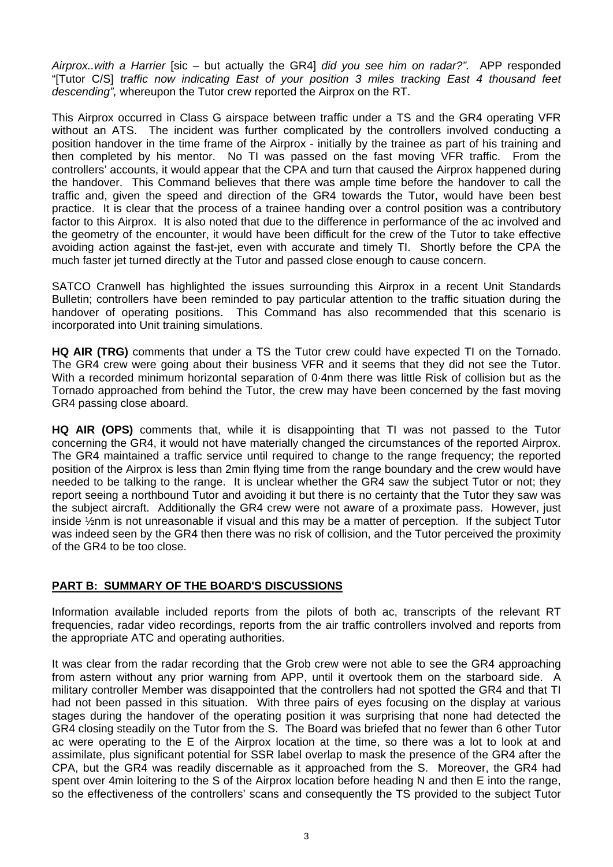*Airprox..with a Harrier* [sic – but actually the GR4] *did you see him on radar?".* APP responded "[Tutor C/S] *traffic now indicating East of your position 3 miles tracking East 4 thousand feet descending",* whereupon the Tutor crew reported the Airprox on the RT.

This Airprox occurred in Class G airspace between traffic under a TS and the GR4 operating VFR without an ATS. The incident was further complicated by the controllers involved conducting a position handover in the time frame of the Airprox - initially by the trainee as part of his training and then completed by his mentor. No TI was passed on the fast moving VFR traffic. From the controllers' accounts, it would appear that the CPA and turn that caused the Airprox happened during the handover. This Command believes that there was ample time before the handover to call the traffic and, given the speed and direction of the GR4 towards the Tutor, would have been best practice. It is clear that the process of a trainee handing over a control position was a contributory factor to this Airprox. It is also noted that due to the difference in performance of the ac involved and the geometry of the encounter, it would have been difficult for the crew of the Tutor to take effective avoiding action against the fast-jet, even with accurate and timely TI. Shortly before the CPA the much faster jet turned directly at the Tutor and passed close enough to cause concern.

SATCO Cranwell has highlighted the issues surrounding this Airprox in a recent Unit Standards Bulletin; controllers have been reminded to pay particular attention to the traffic situation during the handover of operating positions. This Command has also recommended that this scenario is incorporated into Unit training simulations.

**HQ AIR (TRG)** comments that under a TS the Tutor crew could have expected TI on the Tornado. The GR4 crew were going about their business VFR and it seems that they did not see the Tutor. With a recorded minimum horizontal separation of 0·4nm there was little Risk of collision but as the Tornado approached from behind the Tutor, the crew may have been concerned by the fast moving GR4 passing close aboard.

**HQ AIR (OPS)** comments that, while it is disappointing that TI was not passed to the Tutor concerning the GR4, it would not have materially changed the circumstances of the reported Airprox. The GR4 maintained a traffic service until required to change to the range frequency; the reported position of the Airprox is less than 2min flying time from the range boundary and the crew would have needed to be talking to the range. It is unclear whether the GR4 saw the subject Tutor or not; they report seeing a northbound Tutor and avoiding it but there is no certainty that the Tutor they saw was the subject aircraft. Additionally the GR4 crew were not aware of a proximate pass. However, just inside ½nm is not unreasonable if visual and this may be a matter of perception. If the subject Tutor was indeed seen by the GR4 then there was no risk of collision, and the Tutor perceived the proximity of the GR4 to be too close.

## **PART B: SUMMARY OF THE BOARD'S DISCUSSIONS**

Information available included reports from the pilots of both ac, transcripts of the relevant RT frequencies, radar video recordings, reports from the air traffic controllers involved and reports from the appropriate ATC and operating authorities.

It was clear from the radar recording that the Grob crew were not able to see the GR4 approaching from astern without any prior warning from APP, until it overtook them on the starboard side. A military controller Member was disappointed that the controllers had not spotted the GR4 and that TI had not been passed in this situation. With three pairs of eyes focusing on the display at various stages during the handover of the operating position it was surprising that none had detected the GR4 closing steadily on the Tutor from the S. The Board was briefed that no fewer than 6 other Tutor ac were operating to the E of the Airprox location at the time, so there was a lot to look at and assimilate, plus significant potential for SSR label overlap to mask the presence of the GR4 after the CPA, but the GR4 was readily discernable as it approached from the S. Moreover, the GR4 had spent over 4min loitering to the S of the Airprox location before heading N and then E into the range, so the effectiveness of the controllers' scans and consequently the TS provided to the subject Tutor